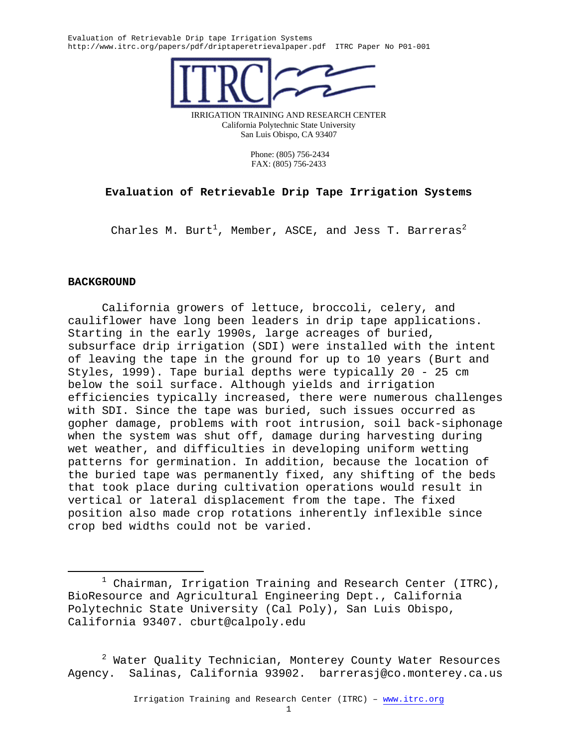

IRRIGATION TRAINING AND RESEARCH CENTER California Polytechnic State University San Luis Obispo, CA 93407

> Phone: (805) 756-2434 FAX: (805) 756-2433

# **Evaluation of Retrievable Drip Tape Irrigation Systems**

Charles M. Burt $^1$ , Member, ASCE, and Jess T. Barreras $^2$ 

## **BACKGROUND**

California growers of lettuce, broccoli, celery, and cauliflower have long been leaders in drip tape applications. Starting in the early 1990s, large acreages of buried, subsurface drip irrigation (SDI) were installed with the intent of leaving the tape in the ground for up to 10 years (Burt and Styles, 1999). Tape burial depths were typically 20 - 25 cm below the soil surface. Although yields and irrigation efficiencies typically increased, there were numerous challenges with SDI. Since the tape was buried, such issues occurred as gopher damage, problems with root intrusion, soil back-siphonage when the system was shut off, damage during harvesting during wet weather, and difficulties in developing uniform wetting patterns for germination. In addition, because the location of the buried tape was permanently fixed, any shifting of the beds that took place during cultivation operations would result in vertical or lateral displacement from the tape. The fixed position also made crop rotations inherently inflexible since crop bed widths could not be varied.

 $^2$  Water Quality Technician, Monterey County Water Resources Agency. Salinas, California 93902. barrerasj@co.monterey.ca.us

 $\begin{array}{c}\n\hline\n\hline\n\hline\n\hline\n\hline\n\end{array}$  $1$  Chairman, Irrigation Training and Research Center (ITRC), BioResource and Agricultural Engineering Dept., California Polytechnic State University (Cal Poly), San Luis Obispo, California 93407. cburt@calpoly.edu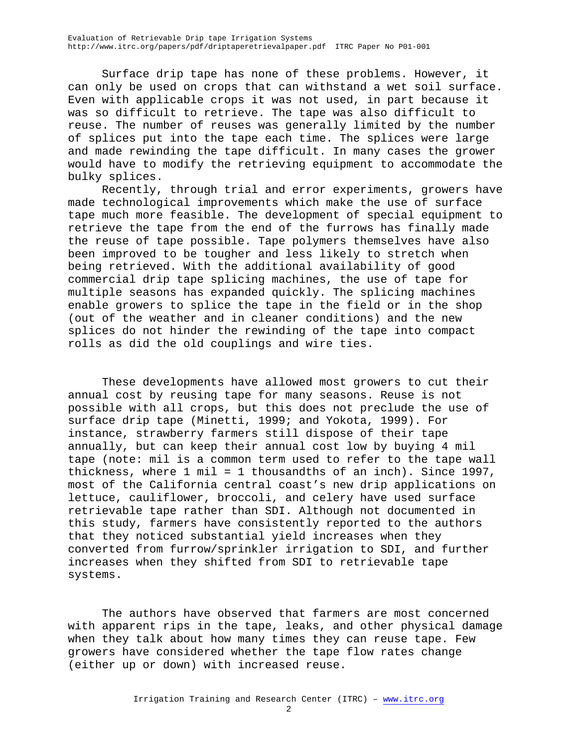Surface drip tape has none of these problems. However, it can only be used on crops that can withstand a wet soil surface. Even with applicable crops it was not used, in part because it was so difficult to retrieve. The tape was also difficult to reuse. The number of reuses was generally limited by the number of splices put into the tape each time. The splices were large and made rewinding the tape difficult. In many cases the grower would have to modify the retrieving equipment to accommodate the bulky splices.

Recently, through trial and error experiments, growers have made technological improvements which make the use of surface tape much more feasible. The development of special equipment to retrieve the tape from the end of the furrows has finally made the reuse of tape possible. Tape polymers themselves have also been improved to be tougher and less likely to stretch when being retrieved. With the additional availability of good commercial drip tape splicing machines, the use of tape for multiple seasons has expanded quickly. The splicing machines enable growers to splice the tape in the field or in the shop (out of the weather and in cleaner conditions) and the new splices do not hinder the rewinding of the tape into compact rolls as did the old couplings and wire ties.

These developments have allowed most growers to cut their annual cost by reusing tape for many seasons. Reuse is not possible with all crops, but this does not preclude the use of surface drip tape (Minetti, 1999; and Yokota, 1999). For instance, strawberry farmers still dispose of their tape annually, but can keep their annual cost low by buying 4 mil tape (note: mil is a common term used to refer to the tape wall thickness, where 1 mil = 1 thousandths of an inch). Since 1997, most of the California central coast's new drip applications on lettuce, cauliflower, broccoli, and celery have used surface retrievable tape rather than SDI. Although not documented in this study, farmers have consistently reported to the authors that they noticed substantial yield increases when they converted from furrow/sprinkler irrigation to SDI, and further increases when they shifted from SDI to retrievable tape systems.

The authors have observed that farmers are most concerned with apparent rips in the tape, leaks, and other physical damage when they talk about how many times they can reuse tape. Few growers have considered whether the tape flow rates change (either up or down) with increased reuse.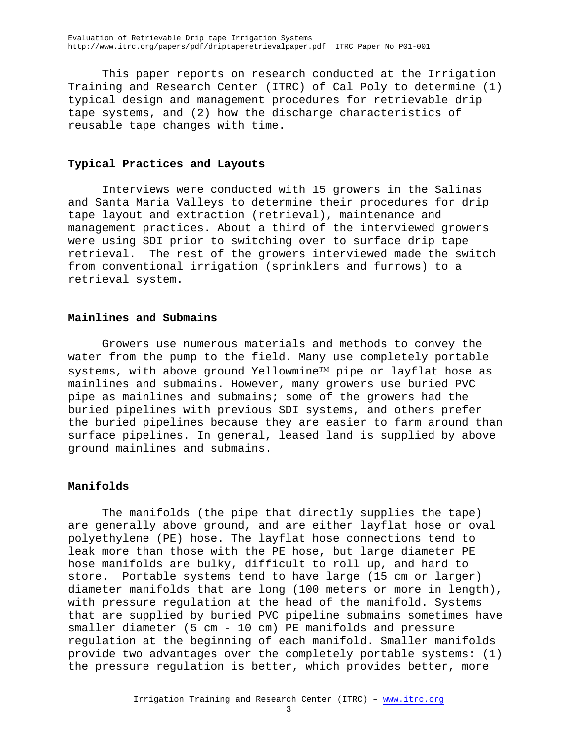This paper reports on research conducted at the Irrigation Training and Research Center (ITRC) of Cal Poly to determine (1) typical design and management procedures for retrievable drip tape systems, and (2) how the discharge characteristics of reusable tape changes with time.

## **Typical Practices and Layouts**

Interviews were conducted with 15 growers in the Salinas and Santa Maria Valleys to determine their procedures for drip tape layout and extraction (retrieval), maintenance and management practices. About a third of the interviewed growers were using SDI prior to switching over to surface drip tape retrieval. The rest of the growers interviewed made the switch from conventional irrigation (sprinklers and furrows) to a retrieval system.

## **Mainlines and Submains**

Growers use numerous materials and methods to convey the water from the pump to the field. Many use completely portable systems, with above ground Yellowmine<sup> $TM$ </sup> pipe or layflat hose as mainlines and submains. However, many growers use buried PVC pipe as mainlines and submains; some of the growers had the buried pipelines with previous SDI systems, and others prefer the buried pipelines because they are easier to farm around than surface pipelines. In general, leased land is supplied by above ground mainlines and submains.

## **Manifolds**

The manifolds (the pipe that directly supplies the tape) are generally above ground, and are either layflat hose or oval polyethylene (PE) hose. The layflat hose connections tend to leak more than those with the PE hose, but large diameter PE hose manifolds are bulky, difficult to roll up, and hard to store. Portable systems tend to have large (15 cm or larger) diameter manifolds that are long (100 meters or more in length), with pressure regulation at the head of the manifold. Systems that are supplied by buried PVC pipeline submains sometimes have smaller diameter (5 cm - 10 cm) PE manifolds and pressure regulation at the beginning of each manifold. Smaller manifolds provide two advantages over the completely portable systems: (1) the pressure regulation is better, which provides better, more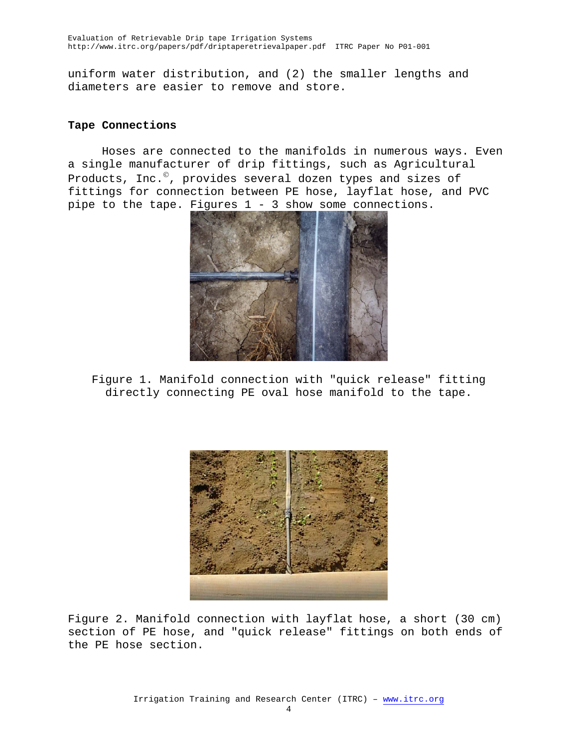uniform water distribution, and (2) the smaller lengths and diameters are easier to remove and store.

## **Tape Connections**

Hoses are connected to the manifolds in numerous ways. Even a single manufacturer of drip fittings, such as Agricultural Products, Inc.<sup>©</sup>, provides several dozen types and sizes of fittings for connection between PE hose, layflat hose, and PVC pipe to the tape. Figures 1 - 3 show some connections.



Figure 1. Manifold connection with "quick release" fitting directly connecting PE oval hose manifold to the tape.



Figure 2. Manifold connection with layflat hose, a short (30 cm) section of PE hose, and "quick release" fittings on both ends of the PE hose section.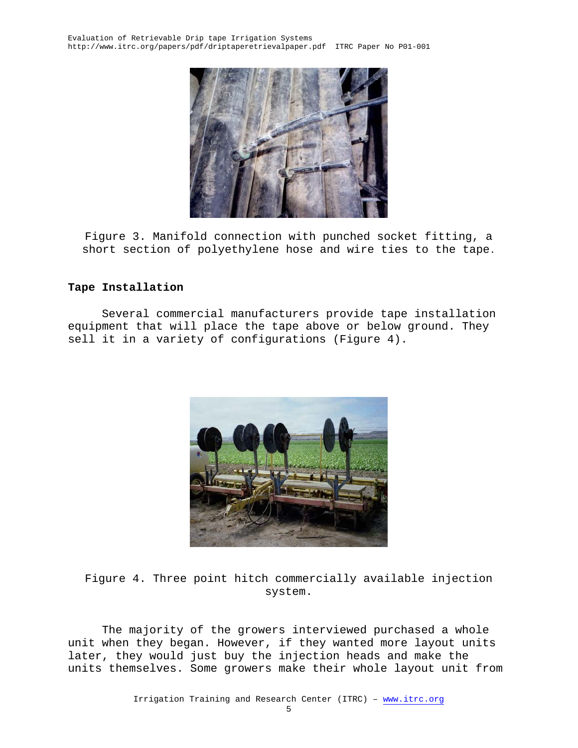

Figure 3. Manifold connection with punched socket fitting, a short section of polyethylene hose and wire ties to the tape.

# **Tape Installation**

Several commercial manufacturers provide tape installation equipment that will place the tape above or below ground. They sell it in a variety of configurations (Figure 4).



Figure 4. Three point hitch commercially available injection system.

The majority of the growers interviewed purchased a whole unit when they began. However, if they wanted more layout units later, they would just buy the injection heads and make the units themselves. Some growers make their whole layout unit from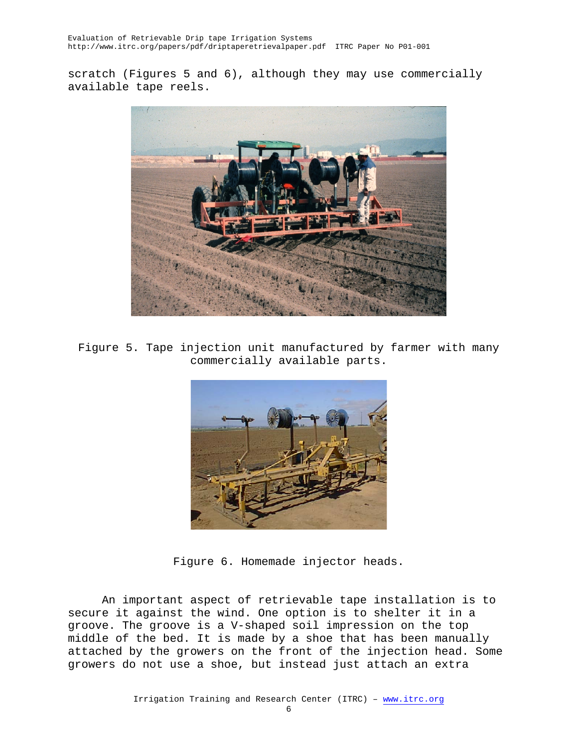scratch (Figures 5 and 6), although they may use commercially available tape reels.



Figure 5. Tape injection unit manufactured by farmer with many commercially available parts.



Figure 6. Homemade injector heads.

An important aspect of retrievable tape installation is to secure it against the wind. One option is to shelter it in a groove. The groove is a V-shaped soil impression on the top middle of the bed. It is made by a shoe that has been manually attached by the growers on the front of the injection head. Some growers do not use a shoe, but instead just attach an extra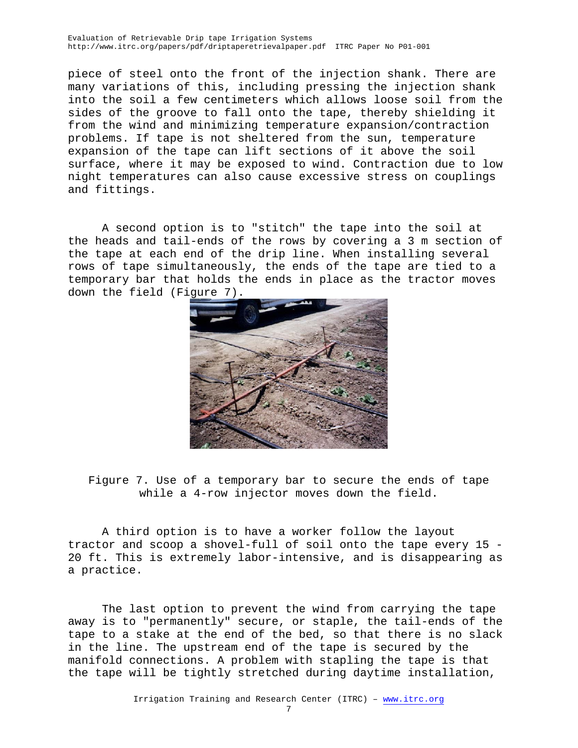piece of steel onto the front of the injection shank. There are many variations of this, including pressing the injection shank into the soil a few centimeters which allows loose soil from the sides of the groove to fall onto the tape, thereby shielding it from the wind and minimizing temperature expansion/contraction problems. If tape is not sheltered from the sun, temperature expansion of the tape can lift sections of it above the soil surface, where it may be exposed to wind. Contraction due to low night temperatures can also cause excessive stress on couplings and fittings.

A second option is to "stitch" the tape into the soil at the heads and tail-ends of the rows by covering a 3 m section of the tape at each end of the drip line. When installing several rows of tape simultaneously, the ends of the tape are tied to a temporary bar that holds the ends in place as the tractor moves down the field (Figure 7).



Figure 7. Use of a temporary bar to secure the ends of tape while a 4-row injector moves down the field.

A third option is to have a worker follow the layout tractor and scoop a shovel-full of soil onto the tape every 15 - 20 ft. This is extremely labor-intensive, and is disappearing as a practice.

The last option to prevent the wind from carrying the tape away is to "permanently" secure, or staple, the tail-ends of the tape to a stake at the end of the bed, so that there is no slack in the line. The upstream end of the tape is secured by the manifold connections. A problem with stapling the tape is that the tape will be tightly stretched during daytime installation,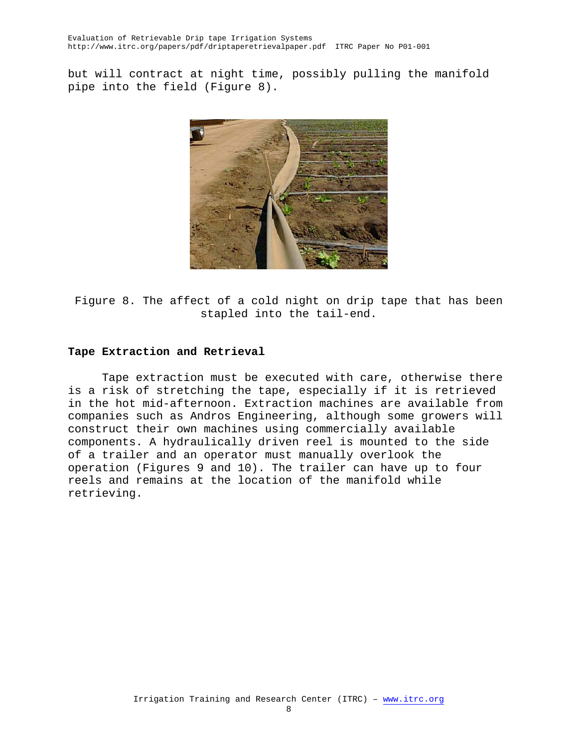but will contract at night time, possibly pulling the manifold pipe into the field (Figure 8).



Figure 8. The affect of a cold night on drip tape that has been stapled into the tail-end.

## **Tape Extraction and Retrieval**

Tape extraction must be executed with care, otherwise there is a risk of stretching the tape, especially if it is retrieved in the hot mid-afternoon. Extraction machines are available from companies such as Andros Engineering, although some growers will construct their own machines using commercially available components. A hydraulically driven reel is mounted to the side of a trailer and an operator must manually overlook the operation (Figures 9 and 10). The trailer can have up to four reels and remains at the location of the manifold while retrieving.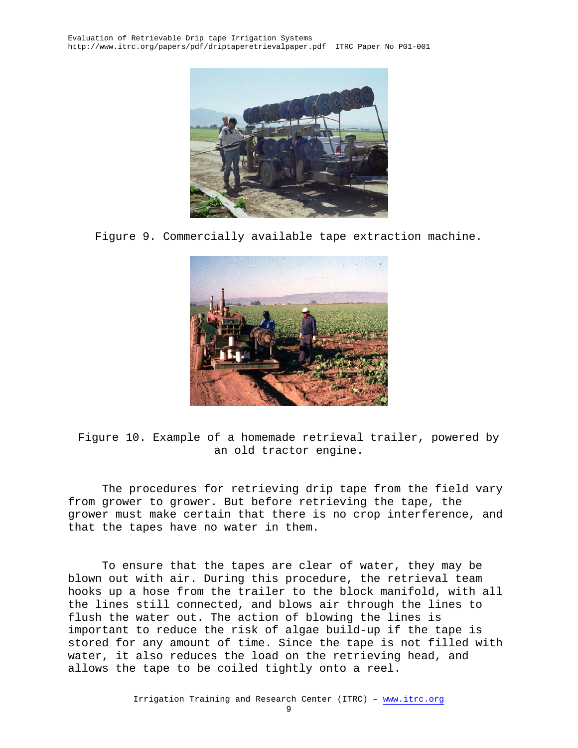

Figure 9. Commercially available tape extraction machine.



Figure 10. Example of a homemade retrieval trailer, powered by an old tractor engine.

The procedures for retrieving drip tape from the field vary from grower to grower. But before retrieving the tape, the grower must make certain that there is no crop interference, and that the tapes have no water in them.

To ensure that the tapes are clear of water, they may be blown out with air. During this procedure, the retrieval team hooks up a hose from the trailer to the block manifold, with all the lines still connected, and blows air through the lines to flush the water out. The action of blowing the lines is important to reduce the risk of algae build-up if the tape is stored for any amount of time. Since the tape is not filled with water, it also reduces the load on the retrieving head, and allows the tape to be coiled tightly onto a reel.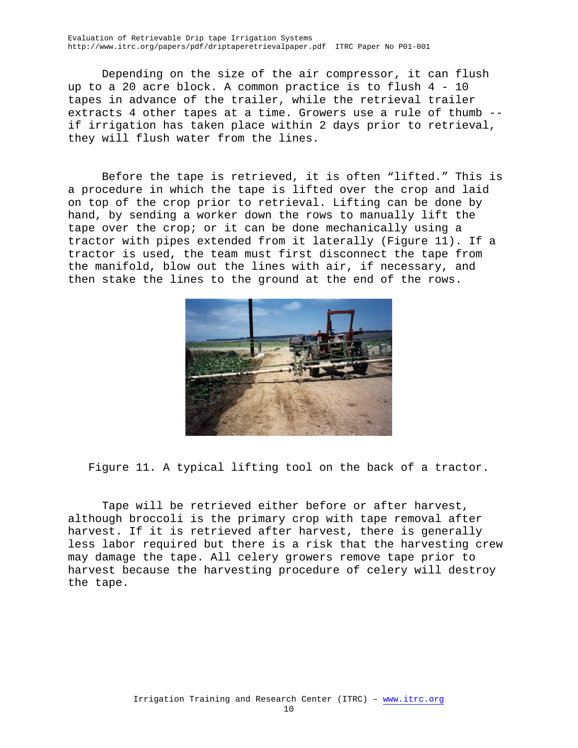Evaluation of Retrievable Drip tape Irrigation Systems http://www.itrc.org/papers/pdf/driptaperetrievalpaper.pdf ITRC Paper No P01-001

Depending on the size of the air compressor, it can flush up to a 20 acre block. A common practice is to flush 4 - 10 tapes in advance of the trailer, while the retrieval trailer extracts 4 other tapes at a time. Growers use a rule of thumb - if irrigation has taken place within 2 days prior to retrieval, they will flush water from the lines.

Before the tape is retrieved, it is often "lifted." This is a procedure in which the tape is lifted over the crop and laid on top of the crop prior to retrieval. Lifting can be done by hand, by sending a worker down the rows to manually lift the tape over the crop; or it can be done mechanically using a tractor with pipes extended from it laterally (Figure 11). If a tractor is used, the team must first disconnect the tape from the manifold, blow out the lines with air, if necessary, and then stake the lines to the ground at the end of the rows.



Figure 11. A typical lifting tool on the back of a tractor.

Tape will be retrieved either before or after harvest, although broccoli is the primary crop with tape removal after harvest. If it is retrieved after harvest, there is generally less labor required but there is a risk that the harvesting crew may damage the tape. All celery growers remove tape prior to harvest because the harvesting procedure of celery will destroy the tape.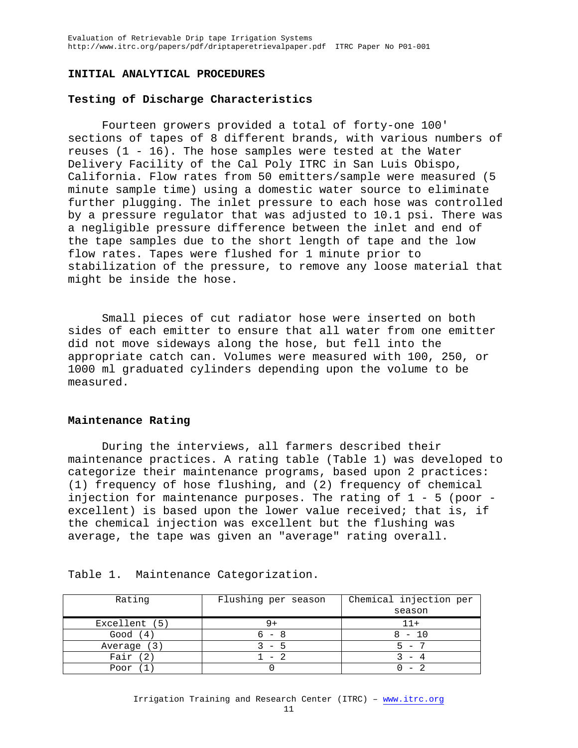#### **INITIAL ANALYTICAL PROCEDURES**

### **Testing of Discharge Characteristics**

Fourteen growers provided a total of forty-one 100' sections of tapes of 8 different brands, with various numbers of reuses (1 - 16). The hose samples were tested at the Water Delivery Facility of the Cal Poly ITRC in San Luis Obispo, California. Flow rates from 50 emitters/sample were measured (5 minute sample time) using a domestic water source to eliminate further plugging. The inlet pressure to each hose was controlled by a pressure regulator that was adjusted to 10.1 psi. There was a negligible pressure difference between the inlet and end of the tape samples due to the short length of tape and the low flow rates. Tapes were flushed for 1 minute prior to stabilization of the pressure, to remove any loose material that might be inside the hose.

Small pieces of cut radiator hose were inserted on both sides of each emitter to ensure that all water from one emitter did not move sideways along the hose, but fell into the appropriate catch can. Volumes were measured with 100, 250, or 1000 ml graduated cylinders depending upon the volume to be measured.

#### **Maintenance Rating**

During the interviews, all farmers described their maintenance practices. A rating table (Table 1) was developed to categorize their maintenance programs, based upon 2 practices: (1) frequency of hose flushing, and (2) frequency of chemical injection for maintenance purposes. The rating of 1 - 5 (poor excellent) is based upon the lower value received; that is, if the chemical injection was excellent but the flushing was average, the tape was given an "average" rating overall.

| Rating        | Flushing per season | Chemical injection per |  |  |
|---------------|---------------------|------------------------|--|--|
|               |                     | season                 |  |  |
| Excellent (5) |                     | $11+$                  |  |  |
| Good $(4)$    | 6 – 8               | $8 - 10$               |  |  |
| Average (3)   | $3 - 5$             | $5 - 7$                |  |  |
| Fair $(2)$    | $1 - 2$             |                        |  |  |
| Poor (1       |                     |                        |  |  |

Table 1. Maintenance Categorization.

#### Irrigation Training and Research Center (ITRC) – www.itrc.org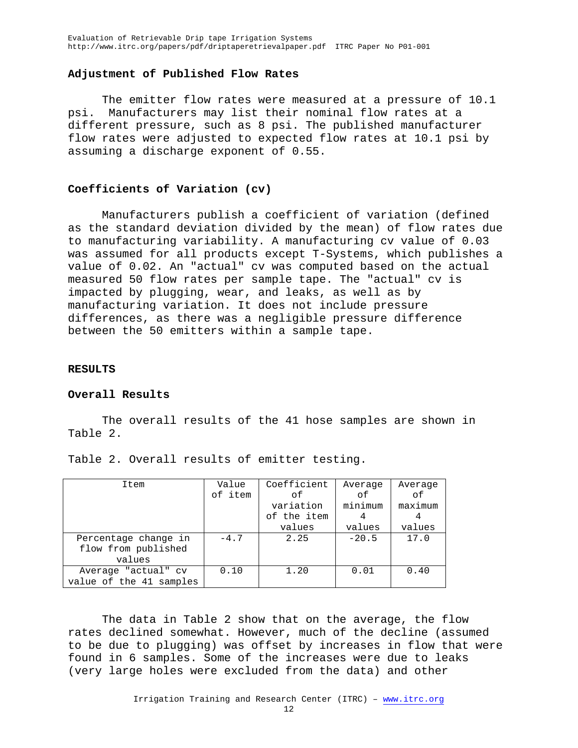#### **Adjustment of Published Flow Rates**

The emitter flow rates were measured at a pressure of 10.1 psi. Manufacturers may list their nominal flow rates at a different pressure, such as 8 psi. The published manufacturer flow rates were adjusted to expected flow rates at 10.1 psi by assuming a discharge exponent of 0.55.

### **Coefficients of Variation (cv)**

Manufacturers publish a coefficient of variation (defined as the standard deviation divided by the mean) of flow rates due to manufacturing variability. A manufacturing cv value of 0.03 was assumed for all products except T-Systems, which publishes a value of 0.02. An "actual" cv was computed based on the actual measured 50 flow rates per sample tape. The "actual" cv is impacted by plugging, wear, and leaks, as well as by manufacturing variation. It does not include pressure differences, as there was a negligible pressure difference between the 50 emitters within a sample tape.

#### **RESULTS**

#### **Overall Results**

The overall results of the 41 hose samples are shown in Table 2.

| Item                    | Value   | Coefficient | Average | Average |
|-------------------------|---------|-------------|---------|---------|
|                         | of item | оf          | οf      | оf      |
|                         |         | variation   | minimum | maximum |
|                         |         | of the item | 4       |         |
|                         |         | values      | values  | values  |
| Percentage change in    | $-4.7$  | 2.25        | $-20.5$ | 17.0    |
| flow from published     |         |             |         |         |
| values                  |         |             |         |         |
| Average "actual" cv     | 0.10    | 1.20        | 0.01    | 0.40    |
| value of the 41 samples |         |             |         |         |

Table 2. Overall results of emitter testing.

The data in Table 2 show that on the average, the flow rates declined somewhat. However, much of the decline (assumed to be due to plugging) was offset by increases in flow that were found in 6 samples. Some of the increases were due to leaks (very large holes were excluded from the data) and other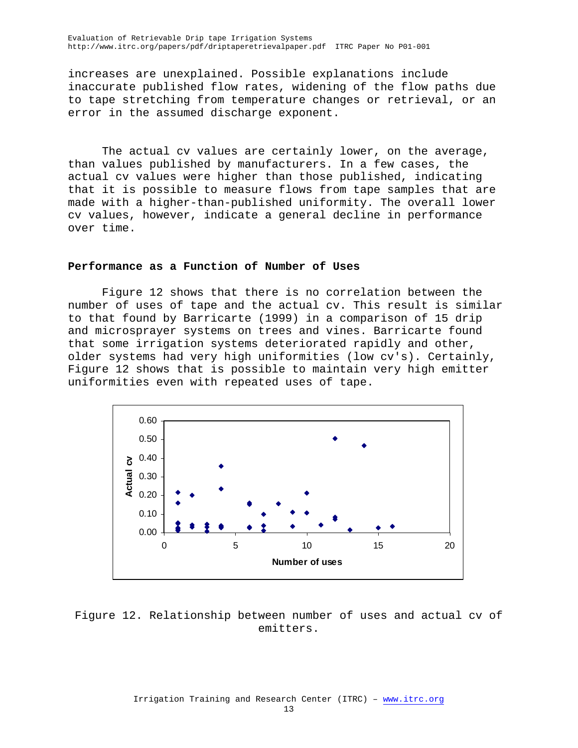increases are unexplained. Possible explanations include inaccurate published flow rates, widening of the flow paths due to tape stretching from temperature changes or retrieval, or an error in the assumed discharge exponent.

The actual cv values are certainly lower, on the average, than values published by manufacturers. In a few cases, the actual cv values were higher than those published, indicating that it is possible to measure flows from tape samples that are made with a higher-than-published uniformity. The overall lower cv values, however, indicate a general decline in performance over time.

#### **Performance as a Function of Number of Uses**

Figure 12 shows that there is no correlation between the number of uses of tape and the actual cv. This result is similar to that found by Barricarte (1999) in a comparison of 15 drip and microsprayer systems on trees and vines. Barricarte found that some irrigation systems deteriorated rapidly and other, older systems had very high uniformities (low cv's). Certainly, Figure 12 shows that is possible to maintain very high emitter uniformities even with repeated uses of tape.



Figure 12. Relationship between number of uses and actual cv of emitters.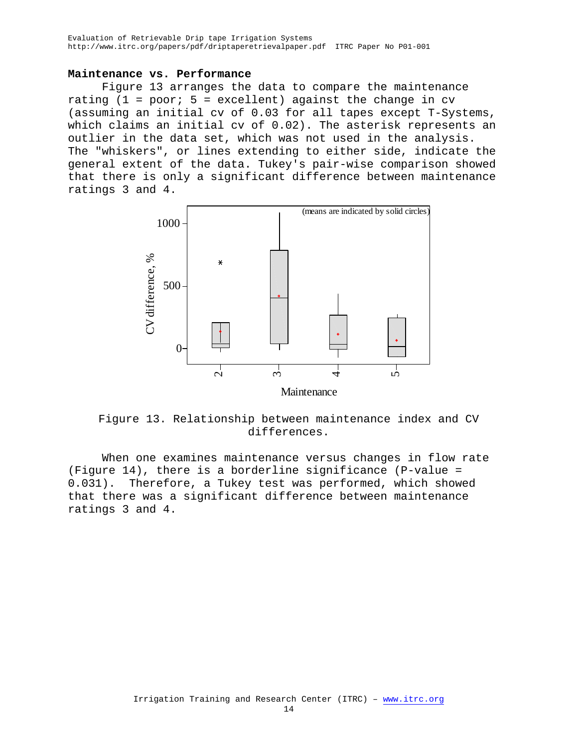### **Maintenance vs. Performance**

Figure 13 arranges the data to compare the maintenance rating  $(1 = poor; 5 = excellent)$  against the change in cv (assuming an initial cv of 0.03 for all tapes except T-Systems, which claims an initial cv of 0.02). The asterisk represents an outlier in the data set, which was not used in the analysis. The "whiskers", or lines extending to either side, indicate the general extent of the data. Tukey's pair-wise comparison showed that there is only a significant difference between maintenance ratings 3 and 4.



Figure 13. Relationship between maintenance index and CV differences.

When one examines maintenance versus changes in flow rate (Figure 14), there is a borderline significance (P-value = 0.031). Therefore, a Tukey test was performed, which showed that there was a significant difference between maintenance ratings 3 and 4.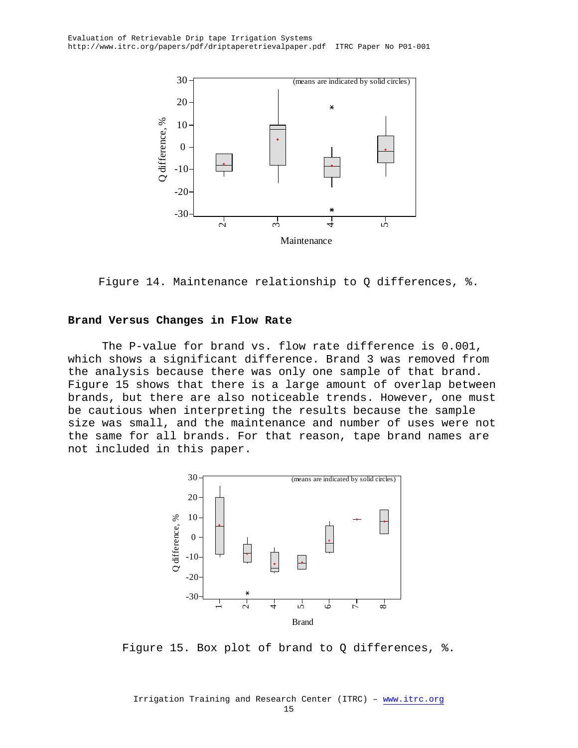

Figure 14. Maintenance relationship to Q differences, %.

### **Brand Versus Changes in Flow Rate**

The P-value for brand vs. flow rate difference is 0.001, which shows a significant difference. Brand 3 was removed from the analysis because there was only one sample of that brand. Figure 15 shows that there is a large amount of overlap between brands, but there are also noticeable trends. However, one must be cautious when interpreting the results because the sample size was small, and the maintenance and number of uses were not the same for all brands. For that reason, tape brand names are not included in this paper.



Figure 15. Box plot of brand to Q differences, %.

Irrigation Training and Research Center (ITRC) – www.itrc.org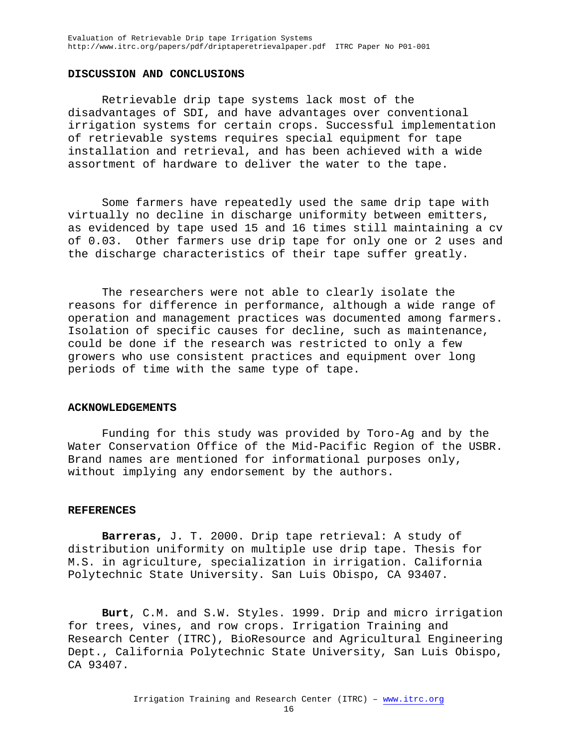## **DISCUSSION AND CONCLUSIONS**

Retrievable drip tape systems lack most of the disadvantages of SDI, and have advantages over conventional irrigation systems for certain crops. Successful implementation of retrievable systems requires special equipment for tape installation and retrieval, and has been achieved with a wide assortment of hardware to deliver the water to the tape.

Some farmers have repeatedly used the same drip tape with virtually no decline in discharge uniformity between emitters, as evidenced by tape used 15 and 16 times still maintaining a cv of 0.03. Other farmers use drip tape for only one or 2 uses and the discharge characteristics of their tape suffer greatly.

The researchers were not able to clearly isolate the reasons for difference in performance, although a wide range of operation and management practices was documented among farmers. Isolation of specific causes for decline, such as maintenance, could be done if the research was restricted to only a few growers who use consistent practices and equipment over long periods of time with the same type of tape.

#### **ACKNOWLEDGEMENTS**

Funding for this study was provided by Toro-Ag and by the Water Conservation Office of the Mid-Pacific Region of the USBR. Brand names are mentioned for informational purposes only, without implying any endorsement by the authors.

#### **REFERENCES**

**Barreras,** J. T. 2000. Drip tape retrieval: A study of distribution uniformity on multiple use drip tape. Thesis for M.S. in agriculture, specialization in irrigation. California Polytechnic State University. San Luis Obispo, CA 93407.

**Burt**, C.M. and S.W. Styles. 1999. Drip and micro irrigation for trees, vines, and row crops. Irrigation Training and Research Center (ITRC), BioResource and Agricultural Engineering Dept., California Polytechnic State University, San Luis Obispo, CA 93407.